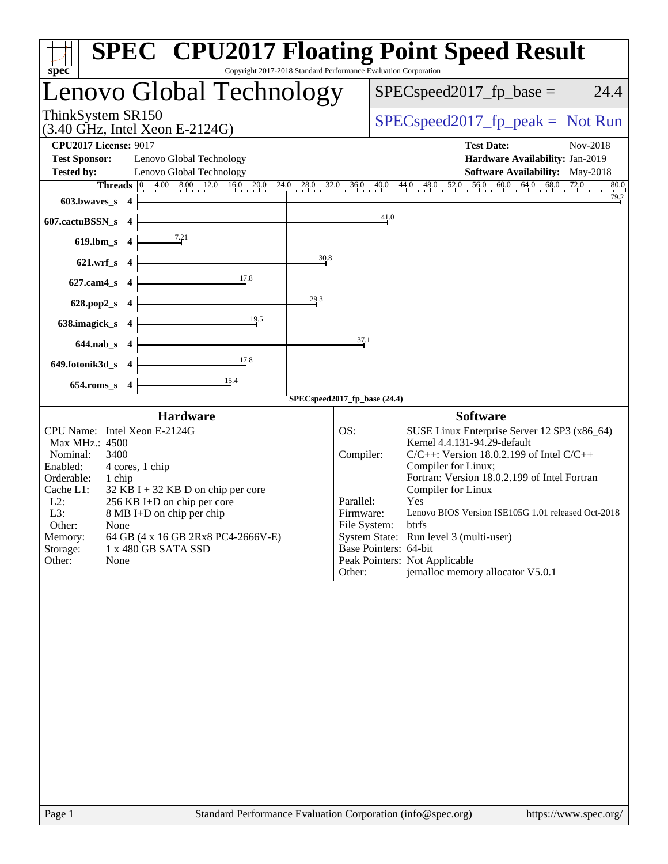| Copyright 2017-2018 Standard Performance Evaluation Corporation<br>spec <sup>®</sup>                                                                                                                                                                                                                                                                                                | <b>SPEC<sup>®</sup> CPU2017 Floating Point Speed Result</b>                                                                                                                                                                                                                                                                                                                                                                                                                                                          |
|-------------------------------------------------------------------------------------------------------------------------------------------------------------------------------------------------------------------------------------------------------------------------------------------------------------------------------------------------------------------------------------|----------------------------------------------------------------------------------------------------------------------------------------------------------------------------------------------------------------------------------------------------------------------------------------------------------------------------------------------------------------------------------------------------------------------------------------------------------------------------------------------------------------------|
| Lenovo Global Technology                                                                                                                                                                                                                                                                                                                                                            | $SPEC speed2017_fp\_base =$<br>24.4                                                                                                                                                                                                                                                                                                                                                                                                                                                                                  |
| ThinkSystem SR150<br>$(3.40 \text{ GHz}, \text{Intel Xeon E-2124G})$                                                                                                                                                                                                                                                                                                                | $SPEC speed2017rfp peak = Not Run$                                                                                                                                                                                                                                                                                                                                                                                                                                                                                   |
| <b>CPU2017 License: 9017</b>                                                                                                                                                                                                                                                                                                                                                        | <b>Test Date:</b><br>Nov-2018                                                                                                                                                                                                                                                                                                                                                                                                                                                                                        |
| <b>Test Sponsor:</b><br>Lenovo Global Technology                                                                                                                                                                                                                                                                                                                                    | Hardware Availability: Jan-2019                                                                                                                                                                                                                                                                                                                                                                                                                                                                                      |
| <b>Tested by:</b><br>Lenovo Global Technology                                                                                                                                                                                                                                                                                                                                       | <b>Software Availability:</b> May-2018                                                                                                                                                                                                                                                                                                                                                                                                                                                                               |
|                                                                                                                                                                                                                                                                                                                                                                                     | <b>Threads</b> $\begin{bmatrix} 0 & 4.00 & 8.00 & 12.0 & 16.0 & 20.0 & 24.0 & 28.0 & 32.0 & 36.0 & 40.0 & 44.0 & 48.0 & 52.0 & 56.0 & 60.0 & 64.0 & 68.0 & 72.0 \end{bmatrix}$<br>80.0                                                                                                                                                                                                                                                                                                                               |
| 603.bwaves_s 4                                                                                                                                                                                                                                                                                                                                                                      | $\frac{79.2}{ }$                                                                                                                                                                                                                                                                                                                                                                                                                                                                                                     |
| 607.cactuBSSN_s 4                                                                                                                                                                                                                                                                                                                                                                   | 41.0                                                                                                                                                                                                                                                                                                                                                                                                                                                                                                                 |
| 619.lbm_s $4$                                                                                                                                                                                                                                                                                                                                                                       |                                                                                                                                                                                                                                                                                                                                                                                                                                                                                                                      |
| 30.8<br>$621.wrf_s$ 4                                                                                                                                                                                                                                                                                                                                                               |                                                                                                                                                                                                                                                                                                                                                                                                                                                                                                                      |
| 17.8<br>$627$ .cam $4$ <sub>_S</sub> $4$                                                                                                                                                                                                                                                                                                                                            |                                                                                                                                                                                                                                                                                                                                                                                                                                                                                                                      |
| 29.3<br>628.pop2_s 4                                                                                                                                                                                                                                                                                                                                                                |                                                                                                                                                                                                                                                                                                                                                                                                                                                                                                                      |
| 19.5<br>638.imagick_s 4                                                                                                                                                                                                                                                                                                                                                             |                                                                                                                                                                                                                                                                                                                                                                                                                                                                                                                      |
| 644.nab_s 4                                                                                                                                                                                                                                                                                                                                                                         | 37.1                                                                                                                                                                                                                                                                                                                                                                                                                                                                                                                 |
| 17.8<br>649.fotonik3d_s 4                                                                                                                                                                                                                                                                                                                                                           |                                                                                                                                                                                                                                                                                                                                                                                                                                                                                                                      |
| 654.roms_s 4                                                                                                                                                                                                                                                                                                                                                                        |                                                                                                                                                                                                                                                                                                                                                                                                                                                                                                                      |
|                                                                                                                                                                                                                                                                                                                                                                                     | SPECspeed2017_fp_base (24.4)                                                                                                                                                                                                                                                                                                                                                                                                                                                                                         |
| <b>Hardware</b>                                                                                                                                                                                                                                                                                                                                                                     | <b>Software</b>                                                                                                                                                                                                                                                                                                                                                                                                                                                                                                      |
| CPU Name: Intel Xeon E-2124G<br>Max MHz.: 4500<br>Nominal:<br>3400<br>Enabled:<br>4 cores, 1 chip<br>Orderable:<br>1 chip<br>Cache L1:<br>$32$ KB I + 32 KB D on chip per core<br>$L2$ :<br>256 KB I+D on chip per core<br>L3:<br>8 MB I+D on chip per chip<br>Other:<br>None<br>64 GB (4 x 16 GB 2Rx8 PC4-2666V-E)<br>Memory:<br>Storage:<br>1 x 480 GB SATA SSD<br>Other:<br>None | SUSE Linux Enterprise Server 12 SP3 (x86_64)<br>OS:<br>Kernel 4.4.131-94.29-default<br>$C/C++$ : Version 18.0.2.199 of Intel $C/C++$<br>Compiler:<br>Compiler for Linux;<br>Fortran: Version 18.0.2.199 of Intel Fortran<br>Compiler for Linux<br>Parallel:<br><b>Yes</b><br>Lenovo BIOS Version ISE105G 1.01 released Oct-2018<br>Firmware:<br>File System: btrfs<br>System State: Run level 3 (multi-user)<br>Base Pointers: 64-bit<br>Peak Pointers: Not Applicable<br>jemalloc memory allocator V5.0.1<br>Other: |
| $D_{\alpha\alpha\alpha}$ 1<br>Standard Darformange Evaluation Corneration (info@spee org)                                                                                                                                                                                                                                                                                           | http://www.                                                                                                                                                                                                                                                                                                                                                                                                                                                                                                          |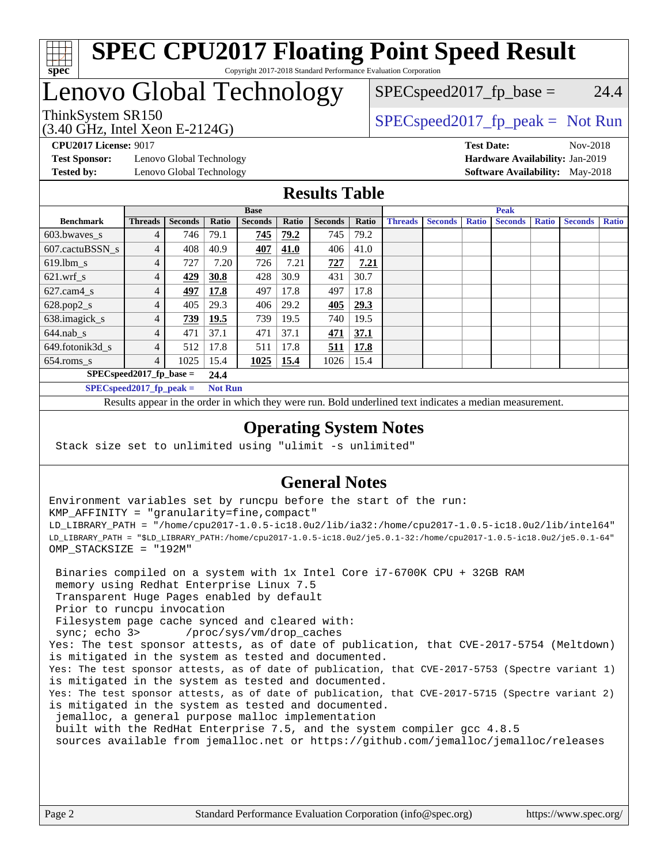

#### **[SPEC CPU2017 Floating Point Speed Result](http://www.spec.org/auto/cpu2017/Docs/result-fields.html#SPECCPU2017FloatingPointSpeedResult)** Copyright 2017-2018 Standard Performance Evaluation Corporation

## Lenovo Global Technology

# (3.40 GHz, Intel Xeon E-2124G)

 $SPEC speed2017_fp\_base = 24.4$ 

## ThinkSystem SR150  $SPEC speed2017$  [p\_peak = Not Run

**[Test Sponsor:](http://www.spec.org/auto/cpu2017/Docs/result-fields.html#TestSponsor)** Lenovo Global Technology **[Hardware Availability:](http://www.spec.org/auto/cpu2017/Docs/result-fields.html#HardwareAvailability)** Jan-2019 **[Tested by:](http://www.spec.org/auto/cpu2017/Docs/result-fields.html#Testedby)** Lenovo Global Technology **[Software Availability:](http://www.spec.org/auto/cpu2017/Docs/result-fields.html#SoftwareAvailability)** May-2018

**[CPU2017 License:](http://www.spec.org/auto/cpu2017/Docs/result-fields.html#CPU2017License)** 9017 **[Test Date:](http://www.spec.org/auto/cpu2017/Docs/result-fields.html#TestDate)** Nov-2018

### **[Results Table](http://www.spec.org/auto/cpu2017/Docs/result-fields.html#ResultsTable)**

|                                    | <b>Base</b>    |                |                |                | <b>Peak</b> |                |       |                |                |              |                |              |                |              |
|------------------------------------|----------------|----------------|----------------|----------------|-------------|----------------|-------|----------------|----------------|--------------|----------------|--------------|----------------|--------------|
| <b>Benchmark</b>                   | <b>Threads</b> | <b>Seconds</b> | Ratio          | <b>Seconds</b> | Ratio       | <b>Seconds</b> | Ratio | <b>Threads</b> | <b>Seconds</b> | <b>Ratio</b> | <b>Seconds</b> | <b>Ratio</b> | <b>Seconds</b> | <b>Ratio</b> |
| 603.bwayes s                       | 4              | 746            | 79.1           | 745            | 79.2        | 745            | 79.2  |                |                |              |                |              |                |              |
| 607.cactuBSSN s                    |                | 408            | 40.9           | 407            | 41.0        | 406            | 41.0  |                |                |              |                |              |                |              |
| $619.$ lbm s                       | 4              | 727            | 7.20           | 726            | 7.21        | 727            | 7.21  |                |                |              |                |              |                |              |
| $621.wrf$ s                        | 4              | 429            | 30.8           | 428            | 30.9        | 431            | 30.7  |                |                |              |                |              |                |              |
| $627$ .cam $4$ <sub>s</sub>        | 4              | 497            | 17.8           | 497            | 17.8        | 497            | 17.8  |                |                |              |                |              |                |              |
| $628.pop2_s$                       | 4              | 405            | 29.3           | 406            | 29.2        | 405            | 29.3  |                |                |              |                |              |                |              |
| 638.imagick_s                      | 4              | 739            | 19.5           | 739            | 19.5        | 740            | 19.5  |                |                |              |                |              |                |              |
| $644$ .nab s                       | 4              | 471            | 37.1           | 471            | 37.1        | 471            | 37.1  |                |                |              |                |              |                |              |
| 649.fotonik3d s                    | 4              | 512            | 17.8           | 511            | 17.8        | <u>511</u>     | 17.8  |                |                |              |                |              |                |              |
| $654$ .roms s                      | 4              | 1025           | 15.4           | 1025           | 15.4        | 1026           | 15.4  |                |                |              |                |              |                |              |
| $SPEC speed2017$ fp base =<br>24.4 |                |                |                |                |             |                |       |                |                |              |                |              |                |              |
| $SPECspeed2017_fp\_peak =$         |                |                | <b>Not Run</b> |                |             |                |       |                |                |              |                |              |                |              |

Results appear in the [order in which they were run.](http://www.spec.org/auto/cpu2017/Docs/result-fields.html#RunOrder) Bold underlined text [indicates a median measurement](http://www.spec.org/auto/cpu2017/Docs/result-fields.html#Median).

#### **[Operating System Notes](http://www.spec.org/auto/cpu2017/Docs/result-fields.html#OperatingSystemNotes)**

Stack size set to unlimited using "ulimit -s unlimited"

## **[General Notes](http://www.spec.org/auto/cpu2017/Docs/result-fields.html#GeneralNotes)**

Environment variables set by runcpu before the start of the run: KMP\_AFFINITY = "granularity=fine,compact" LD\_LIBRARY\_PATH = "/home/cpu2017-1.0.5-ic18.0u2/lib/ia32:/home/cpu2017-1.0.5-ic18.0u2/lib/intel64" LD\_LIBRARY\_PATH = "\$LD\_LIBRARY\_PATH:/home/cpu2017-1.0.5-ic18.0u2/je5.0.1-32:/home/cpu2017-1.0.5-ic18.0u2/je5.0.1-64" OMP\_STACKSIZE = "192M"

 Binaries compiled on a system with 1x Intel Core i7-6700K CPU + 32GB RAM memory using Redhat Enterprise Linux 7.5 Transparent Huge Pages enabled by default Prior to runcpu invocation Filesystem page cache synced and cleared with: sync; echo 3> /proc/sys/vm/drop\_caches Yes: The test sponsor attests, as of date of publication, that CVE-2017-5754 (Meltdown) is mitigated in the system as tested and documented. Yes: The test sponsor attests, as of date of publication, that CVE-2017-5753 (Spectre variant 1) is mitigated in the system as tested and documented. Yes: The test sponsor attests, as of date of publication, that CVE-2017-5715 (Spectre variant 2) is mitigated in the system as tested and documented. jemalloc, a general purpose malloc implementation built with the RedHat Enterprise 7.5, and the system compiler gcc 4.8.5 sources available from jemalloc.net or <https://github.com/jemalloc/jemalloc/releases>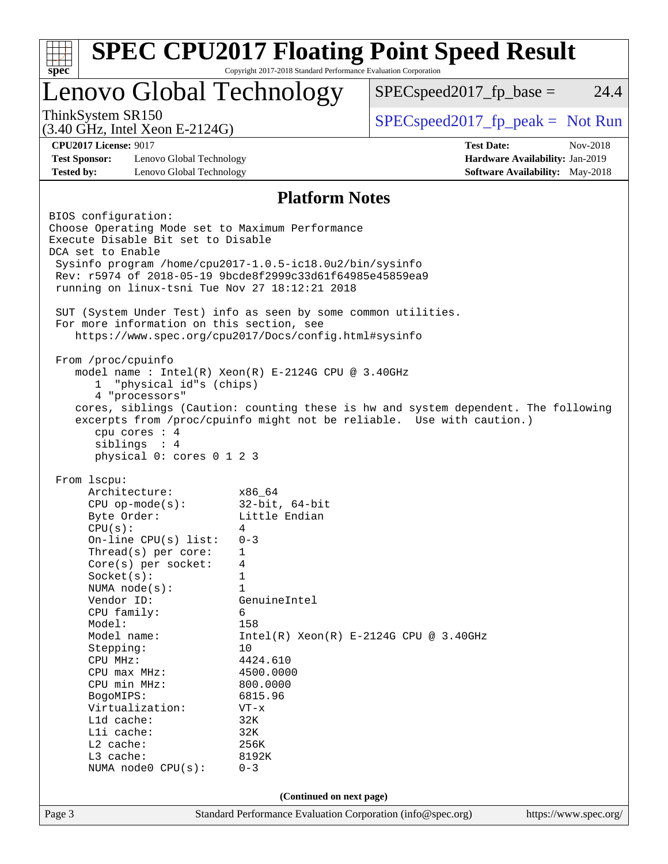| Lenovo Global Technology<br>ThinkSystem SR150<br><b>CPU2017 License: 9017</b>       |                                          | $SPEC speed2017_fp\_base =$<br>$SPEC speed2017rfp peak = Not Run$                  | 24.4     |  |  |  |
|-------------------------------------------------------------------------------------|------------------------------------------|------------------------------------------------------------------------------------|----------|--|--|--|
| $(3.40 \text{ GHz}, \text{Intel Xeon E-2124G})$                                     |                                          |                                                                                    |          |  |  |  |
|                                                                                     |                                          |                                                                                    |          |  |  |  |
|                                                                                     |                                          | <b>Test Date:</b>                                                                  | Nov-2018 |  |  |  |
| <b>Test Sponsor:</b><br>Lenovo Global Technology<br>Hardware Availability: Jan-2019 |                                          |                                                                                    |          |  |  |  |
| <b>Tested by:</b><br>Lenovo Global Technology                                       |                                          | <b>Software Availability:</b> May-2018                                             |          |  |  |  |
|                                                                                     | <b>Platform Notes</b>                    |                                                                                    |          |  |  |  |
| BIOS configuration:                                                                 |                                          |                                                                                    |          |  |  |  |
| Choose Operating Mode set to Maximum Performance                                    |                                          |                                                                                    |          |  |  |  |
| Execute Disable Bit set to Disable<br>DCA set to Enable                             |                                          |                                                                                    |          |  |  |  |
| Sysinfo program /home/cpu2017-1.0.5-ic18.0u2/bin/sysinfo                            |                                          |                                                                                    |          |  |  |  |
| Rev: r5974 of 2018-05-19 9bcde8f2999c33d61f64985e45859ea9                           |                                          |                                                                                    |          |  |  |  |
| running on linux-tsni Tue Nov 27 18:12:21 2018                                      |                                          |                                                                                    |          |  |  |  |
| SUT (System Under Test) info as seen by some common utilities.                      |                                          |                                                                                    |          |  |  |  |
| For more information on this section, see                                           |                                          |                                                                                    |          |  |  |  |
| https://www.spec.org/cpu2017/Docs/config.html#sysinfo                               |                                          |                                                                                    |          |  |  |  |
| From /proc/cpuinfo                                                                  |                                          |                                                                                    |          |  |  |  |
| model name : Intel(R) Xeon(R) E-2124G CPU @ 3.40GHz                                 |                                          |                                                                                    |          |  |  |  |
| "physical id"s (chips)<br>1                                                         |                                          |                                                                                    |          |  |  |  |
| 4 "processors"                                                                      |                                          |                                                                                    |          |  |  |  |
|                                                                                     |                                          | cores, siblings (Caution: counting these is hw and system dependent. The following |          |  |  |  |
|                                                                                     |                                          | excerpts from /proc/cpuinfo might not be reliable. Use with caution.)              |          |  |  |  |
| cpu cores : 4                                                                       |                                          |                                                                                    |          |  |  |  |
| siblings : 4                                                                        |                                          |                                                                                    |          |  |  |  |
| physical 0: cores 0 1 2 3                                                           |                                          |                                                                                    |          |  |  |  |
| From 1scpu:                                                                         |                                          |                                                                                    |          |  |  |  |
| Architecture:                                                                       | x86 64                                   |                                                                                    |          |  |  |  |
| $CPU$ op-mode( $s$ ):                                                               | $32$ -bit, $64$ -bit                     |                                                                                    |          |  |  |  |
| Byte Order:                                                                         | Little Endian                            |                                                                                    |          |  |  |  |
| CPU(s):                                                                             | 4                                        |                                                                                    |          |  |  |  |
| On-line CPU(s) list:                                                                | $0 - 3$                                  |                                                                                    |          |  |  |  |
| Thread(s) per core:                                                                 | 1                                        |                                                                                    |          |  |  |  |
| Core(s) per socket:                                                                 | 4                                        |                                                                                    |          |  |  |  |
| NUMA $node(s)$ :                                                                    | $\mathbf 1$<br>Socket(s):<br>$\mathbf 1$ |                                                                                    |          |  |  |  |
| Vendor ID:                                                                          | GenuineIntel                             |                                                                                    |          |  |  |  |
| CPU family:                                                                         | 6                                        |                                                                                    |          |  |  |  |
| Model:                                                                              | 158                                      |                                                                                    |          |  |  |  |
| Model name:                                                                         |                                          | $Intel(R) Xeon(R) E-2124G CPU @ 3.40GHz$                                           |          |  |  |  |
| Stepping:                                                                           | 10                                       |                                                                                    |          |  |  |  |
| CPU MHz:                                                                            | 4424.610                                 |                                                                                    |          |  |  |  |
| CPU max MHz:                                                                        | 4500.0000                                |                                                                                    |          |  |  |  |
| CPU min MHz:                                                                        | 800.0000                                 |                                                                                    |          |  |  |  |
|                                                                                     | 6815.96<br>BogoMIPS:                     |                                                                                    |          |  |  |  |
|                                                                                     | $VT - x$                                 |                                                                                    |          |  |  |  |
| Virtualization:                                                                     |                                          |                                                                                    |          |  |  |  |
| L1d cache:                                                                          | 32K                                      |                                                                                    |          |  |  |  |
| Lli cache:                                                                          | 32K                                      |                                                                                    |          |  |  |  |
| L2 cache:                                                                           | 256K<br>8192K                            |                                                                                    |          |  |  |  |
| L3 cache:<br>NUMA $node0$ $CPU(s)$ :                                                | $0 - 3$                                  |                                                                                    |          |  |  |  |
|                                                                                     | (Continued on next page)                 |                                                                                    |          |  |  |  |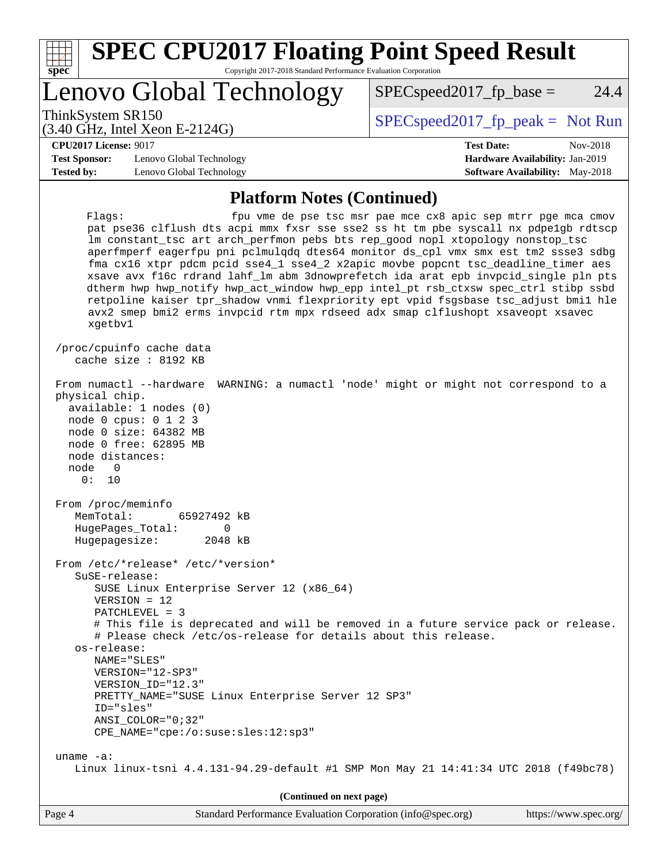| spec <sup>®</sup>                                                         | <b>SPEC CPU2017 Floating Point Speed Result</b><br>Copyright 2017-2018 Standard Performance Evaluation Corporation                                                                                                                                                                                                                                                               |                                                                                                                                                                                                                                                                                                                                                                                                                                                                                                                                                                                                      |      |  |  |
|---------------------------------------------------------------------------|----------------------------------------------------------------------------------------------------------------------------------------------------------------------------------------------------------------------------------------------------------------------------------------------------------------------------------------------------------------------------------|------------------------------------------------------------------------------------------------------------------------------------------------------------------------------------------------------------------------------------------------------------------------------------------------------------------------------------------------------------------------------------------------------------------------------------------------------------------------------------------------------------------------------------------------------------------------------------------------------|------|--|--|
|                                                                           | Lenovo Global Technology                                                                                                                                                                                                                                                                                                                                                         | $SPEC speed2017_fp\_base =$                                                                                                                                                                                                                                                                                                                                                                                                                                                                                                                                                                          | 24.4 |  |  |
| ThinkSystem SR150                                                         | $(3.40 \text{ GHz}, \text{Intel Xeon E-2124G})$                                                                                                                                                                                                                                                                                                                                  | $SPEC speed2017_fp\_peak = Not Run$                                                                                                                                                                                                                                                                                                                                                                                                                                                                                                                                                                  |      |  |  |
| <b>CPU2017 License: 9017</b><br><b>Test Sponsor:</b><br><b>Tested by:</b> | Lenovo Global Technology<br>Lenovo Global Technology                                                                                                                                                                                                                                                                                                                             | <b>Test Date:</b><br>Nov-2018<br>Hardware Availability: Jan-2019<br><b>Software Availability:</b> May-2018                                                                                                                                                                                                                                                                                                                                                                                                                                                                                           |      |  |  |
|                                                                           | <b>Platform Notes (Continued)</b>                                                                                                                                                                                                                                                                                                                                                |                                                                                                                                                                                                                                                                                                                                                                                                                                                                                                                                                                                                      |      |  |  |
| Flagg:<br>xgetbv1                                                         | lm constant_tsc art arch_perfmon pebs bts rep_good nopl xtopology nonstop_tsc<br>avx2 smep bmi2 erms invpcid rtm mpx rdseed adx smap clflushopt xsaveopt xsavec                                                                                                                                                                                                                  | fpu vme de pse tsc msr pae mce cx8 apic sep mtrr pge mca cmov<br>pat pse36 clflush dts acpi mmx fxsr sse sse2 ss ht tm pbe syscall nx pdpelgb rdtscp<br>aperfmperf eagerfpu pni pclmulqdq dtes64 monitor ds_cpl vmx smx est tm2 ssse3 sdbg<br>fma cx16 xtpr pdcm pcid sse4_1 sse4_2 x2apic movbe popcnt tsc_deadline_timer aes<br>xsave avx f16c rdrand lahf_lm abm 3dnowprefetch ida arat epb invpcid_single pln pts<br>dtherm hwp hwp_notify hwp_act_window hwp_epp intel_pt rsb_ctxsw spec_ctrl stibp ssbd<br>retpoline kaiser tpr_shadow vnmi flexpriority ept vpid fsgsbase tsc_adjust bmil hle |      |  |  |
|                                                                           | /proc/cpuinfo cache data<br>cache size : 8192 KB                                                                                                                                                                                                                                                                                                                                 |                                                                                                                                                                                                                                                                                                                                                                                                                                                                                                                                                                                                      |      |  |  |
| physical chip.<br>node distances:<br>node<br>0<br>0:<br>10                | From numactl --hardware<br>available: 1 nodes (0)<br>node 0 cpus: 0 1 2 3<br>node 0 size: 64382 MB<br>node 0 free: 62895 MB                                                                                                                                                                                                                                                      | WARNING: a numactl 'node' might or might not correspond to a                                                                                                                                                                                                                                                                                                                                                                                                                                                                                                                                         |      |  |  |
| From /proc/meminfo<br>MemTotal:<br>Hugepagesize:                          | 65927492 kB<br>HugePages_Total: 0<br>2048 kB                                                                                                                                                                                                                                                                                                                                     |                                                                                                                                                                                                                                                                                                                                                                                                                                                                                                                                                                                                      |      |  |  |
| SuSE-release:<br>os-release:                                              | From /etc/*release* /etc/*version*<br>SUSE Linux Enterprise Server 12 (x86_64)<br>$VERSION = 12$<br>PATCHLEVEL = 3<br># Please check /etc/os-release for details about this release.<br>NAME="SLES"<br>VERSION="12-SP3"<br>VERSION_ID="12.3"<br>PRETTY_NAME="SUSE Linux Enterprise Server 12 SP3"<br>ID="sles"<br>$ANSI$ _COLOR=" $0:32$ "<br>CPE_NAME="cpe:/o:suse:sles:12:sp3" | # This file is deprecated and will be removed in a future service pack or release.                                                                                                                                                                                                                                                                                                                                                                                                                                                                                                                   |      |  |  |
| uname $-a$ :                                                              |                                                                                                                                                                                                                                                                                                                                                                                  | Linux linux-tsni 4.4.131-94.29-default #1 SMP Mon May 21 14:41:34 UTC 2018 (f49bc78)                                                                                                                                                                                                                                                                                                                                                                                                                                                                                                                 |      |  |  |

**(Continued on next page)**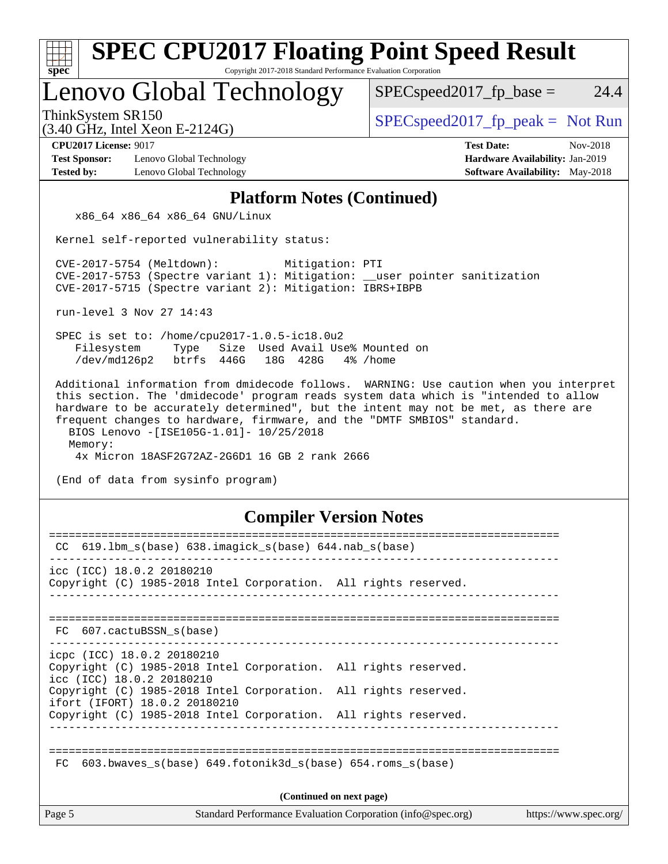| <b>SPEC CPU2017 Floating Point Speed Result</b><br>Copyright 2017-2018 Standard Performance Evaluation Corporation<br>spec <sup>®</sup>                                                                                                                                                                                                                                                           |                                                                                                            |  |  |  |  |  |
|---------------------------------------------------------------------------------------------------------------------------------------------------------------------------------------------------------------------------------------------------------------------------------------------------------------------------------------------------------------------------------------------------|------------------------------------------------------------------------------------------------------------|--|--|--|--|--|
| Lenovo Global Technology                                                                                                                                                                                                                                                                                                                                                                          | $SPEC speed2017fp base =$<br>24.4                                                                          |  |  |  |  |  |
| ThinkSystem SR150<br>$(3.40 \text{ GHz}, \text{Intel Xeon E-2124G})$                                                                                                                                                                                                                                                                                                                              | $SPEC speed2017fr peak = Not Run$                                                                          |  |  |  |  |  |
| <b>CPU2017 License: 9017</b><br>Lenovo Global Technology<br><b>Test Sponsor:</b><br><b>Tested by:</b><br>Lenovo Global Technology                                                                                                                                                                                                                                                                 | <b>Test Date:</b><br>Nov-2018<br>Hardware Availability: Jan-2019<br><b>Software Availability:</b> May-2018 |  |  |  |  |  |
| <b>Platform Notes (Continued)</b>                                                                                                                                                                                                                                                                                                                                                                 |                                                                                                            |  |  |  |  |  |
| x86_64 x86_64 x86_64 GNU/Linux                                                                                                                                                                                                                                                                                                                                                                    |                                                                                                            |  |  |  |  |  |
| Kernel self-reported vulnerability status:                                                                                                                                                                                                                                                                                                                                                        |                                                                                                            |  |  |  |  |  |
| CVE-2017-5754 (Meltdown):<br>Mitigation: PTI<br>CVE-2017-5753 (Spectre variant 1): Mitigation: __user pointer sanitization<br>CVE-2017-5715 (Spectre variant 2): Mitigation: IBRS+IBPB                                                                                                                                                                                                            |                                                                                                            |  |  |  |  |  |
| run-level 3 Nov 27 14:43                                                                                                                                                                                                                                                                                                                                                                          |                                                                                                            |  |  |  |  |  |
| SPEC is set to: /home/cpu2017-1.0.5-ic18.0u2<br>Size Used Avail Use% Mounted on<br>Filesystem<br>Type<br>/dev/md126p2<br>btrfs 446G<br>18G 428G<br>4% /home                                                                                                                                                                                                                                       |                                                                                                            |  |  |  |  |  |
| this section. The 'dmidecode' program reads system data which is "intended to allow<br>hardware to be accurately determined", but the intent may not be met, as there are<br>frequent changes to hardware, firmware, and the "DMTF SMBIOS" standard.<br>BIOS Lenovo -[ISE105G-1.01]- 10/25/2018<br>Memory:<br>4x Micron 18ASF2G72AZ-2G6D1 16 GB 2 rank 2666<br>(End of data from sysinfo program) |                                                                                                            |  |  |  |  |  |
| <b>Compiler Version Notes</b>                                                                                                                                                                                                                                                                                                                                                                     |                                                                                                            |  |  |  |  |  |
| CC 619.1bm_s(base) 638.imagick_s(base) 644.nab_s(base)                                                                                                                                                                                                                                                                                                                                            |                                                                                                            |  |  |  |  |  |
| ---------------------------------<br>icc (ICC) 18.0.2 20180210<br>Copyright (C) 1985-2018 Intel Corporation. All rights reserved.                                                                                                                                                                                                                                                                 |                                                                                                            |  |  |  |  |  |
| FC 607.cactuBSSN s(base)                                                                                                                                                                                                                                                                                                                                                                          |                                                                                                            |  |  |  |  |  |
| icpc (ICC) 18.0.2 20180210<br>Copyright (C) 1985-2018 Intel Corporation. All rights reserved.<br>icc (ICC) 18.0.2 20180210<br>Copyright (C) 1985-2018 Intel Corporation. All rights reserved.                                                                                                                                                                                                     |                                                                                                            |  |  |  |  |  |
| ifort (IFORT) 18.0.2 20180210<br>Copyright (C) 1985-2018 Intel Corporation. All rights reserved.                                                                                                                                                                                                                                                                                                  |                                                                                                            |  |  |  |  |  |
| 603.bwaves_s(base) 649.fotonik3d_s(base) 654.roms_s(base)<br>FC.                                                                                                                                                                                                                                                                                                                                  |                                                                                                            |  |  |  |  |  |
| (Continued on next page)                                                                                                                                                                                                                                                                                                                                                                          |                                                                                                            |  |  |  |  |  |
| Page 5<br>Standard Performance Evaluation Corporation (info@spec.org)                                                                                                                                                                                                                                                                                                                             | https://www.spec.org/                                                                                      |  |  |  |  |  |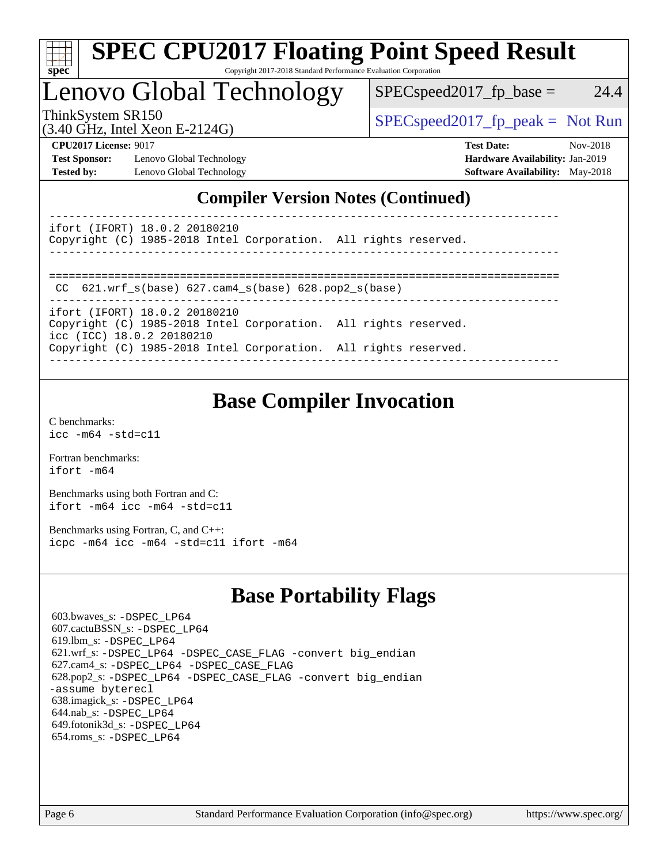

# **[SPEC CPU2017 Floating Point Speed Result](http://www.spec.org/auto/cpu2017/Docs/result-fields.html#SPECCPU2017FloatingPointSpeedResult)**

Copyright 2017-2018 Standard Performance Evaluation Corporation

## Lenovo Global Technology

 $SPEC speed2017_fp\_base = 24.4$ 

(3.40 GHz, Intel Xeon E-2124G)

ThinkSystem SR150  $SPEC speed2017$  [p\_peak = Not Run

**[Test Sponsor:](http://www.spec.org/auto/cpu2017/Docs/result-fields.html#TestSponsor)** Lenovo Global Technology **[Hardware Availability:](http://www.spec.org/auto/cpu2017/Docs/result-fields.html#HardwareAvailability)** Jan-2019 **[Tested by:](http://www.spec.org/auto/cpu2017/Docs/result-fields.html#Testedby)** Lenovo Global Technology **[Software Availability:](http://www.spec.org/auto/cpu2017/Docs/result-fields.html#SoftwareAvailability)** May-2018

**[CPU2017 License:](http://www.spec.org/auto/cpu2017/Docs/result-fields.html#CPU2017License)** 9017 **[Test Date:](http://www.spec.org/auto/cpu2017/Docs/result-fields.html#TestDate)** Nov-2018

## **[Compiler Version Notes \(Continued\)](http://www.spec.org/auto/cpu2017/Docs/result-fields.html#CompilerVersionNotes)**

----------------------------------------------------------------------------- ifort (IFORT) 18.0.2 20180210

Copyright (C) 1985-2018 Intel Corporation. All rights reserved.

------------------------------------------------------------------------------

```
==============================================================================
CC 621.wrf_s(base) 627.cam4_s(base) 628.pop2_s(base)
```

```
------------------------------------------------------------------------------
```
ifort (IFORT) 18.0.2 20180210 Copyright (C) 1985-2018 Intel Corporation. All rights reserved. icc (ICC) 18.0.2 20180210 Copyright (C) 1985-2018 Intel Corporation. All rights reserved.

------------------------------------------------------------------------------

## **[Base Compiler Invocation](http://www.spec.org/auto/cpu2017/Docs/result-fields.html#BaseCompilerInvocation)**

[C benchmarks](http://www.spec.org/auto/cpu2017/Docs/result-fields.html#Cbenchmarks): [icc -m64 -std=c11](http://www.spec.org/cpu2017/results/res2018q4/cpu2017-20181210-10114.flags.html#user_CCbase_intel_icc_64bit_c11_33ee0cdaae7deeeab2a9725423ba97205ce30f63b9926c2519791662299b76a0318f32ddfffdc46587804de3178b4f9328c46fa7c2b0cd779d7a61945c91cd35)

[Fortran benchmarks](http://www.spec.org/auto/cpu2017/Docs/result-fields.html#Fortranbenchmarks): [ifort -m64](http://www.spec.org/cpu2017/results/res2018q4/cpu2017-20181210-10114.flags.html#user_FCbase_intel_ifort_64bit_24f2bb282fbaeffd6157abe4f878425411749daecae9a33200eee2bee2fe76f3b89351d69a8130dd5949958ce389cf37ff59a95e7a40d588e8d3a57e0c3fd751)

[Benchmarks using both Fortran and C](http://www.spec.org/auto/cpu2017/Docs/result-fields.html#BenchmarksusingbothFortranandC): [ifort -m64](http://www.spec.org/cpu2017/results/res2018q4/cpu2017-20181210-10114.flags.html#user_CC_FCbase_intel_ifort_64bit_24f2bb282fbaeffd6157abe4f878425411749daecae9a33200eee2bee2fe76f3b89351d69a8130dd5949958ce389cf37ff59a95e7a40d588e8d3a57e0c3fd751) [icc -m64 -std=c11](http://www.spec.org/cpu2017/results/res2018q4/cpu2017-20181210-10114.flags.html#user_CC_FCbase_intel_icc_64bit_c11_33ee0cdaae7deeeab2a9725423ba97205ce30f63b9926c2519791662299b76a0318f32ddfffdc46587804de3178b4f9328c46fa7c2b0cd779d7a61945c91cd35)

[Benchmarks using Fortran, C, and C++:](http://www.spec.org/auto/cpu2017/Docs/result-fields.html#BenchmarksusingFortranCandCXX) [icpc -m64](http://www.spec.org/cpu2017/results/res2018q4/cpu2017-20181210-10114.flags.html#user_CC_CXX_FCbase_intel_icpc_64bit_4ecb2543ae3f1412ef961e0650ca070fec7b7afdcd6ed48761b84423119d1bf6bdf5cad15b44d48e7256388bc77273b966e5eb805aefd121eb22e9299b2ec9d9) [icc -m64 -std=c11](http://www.spec.org/cpu2017/results/res2018q4/cpu2017-20181210-10114.flags.html#user_CC_CXX_FCbase_intel_icc_64bit_c11_33ee0cdaae7deeeab2a9725423ba97205ce30f63b9926c2519791662299b76a0318f32ddfffdc46587804de3178b4f9328c46fa7c2b0cd779d7a61945c91cd35) [ifort -m64](http://www.spec.org/cpu2017/results/res2018q4/cpu2017-20181210-10114.flags.html#user_CC_CXX_FCbase_intel_ifort_64bit_24f2bb282fbaeffd6157abe4f878425411749daecae9a33200eee2bee2fe76f3b89351d69a8130dd5949958ce389cf37ff59a95e7a40d588e8d3a57e0c3fd751)

## **[Base Portability Flags](http://www.spec.org/auto/cpu2017/Docs/result-fields.html#BasePortabilityFlags)**

 603.bwaves\_s: [-DSPEC\\_LP64](http://www.spec.org/cpu2017/results/res2018q4/cpu2017-20181210-10114.flags.html#suite_basePORTABILITY603_bwaves_s_DSPEC_LP64) 607.cactuBSSN\_s: [-DSPEC\\_LP64](http://www.spec.org/cpu2017/results/res2018q4/cpu2017-20181210-10114.flags.html#suite_basePORTABILITY607_cactuBSSN_s_DSPEC_LP64) 619.lbm\_s: [-DSPEC\\_LP64](http://www.spec.org/cpu2017/results/res2018q4/cpu2017-20181210-10114.flags.html#suite_basePORTABILITY619_lbm_s_DSPEC_LP64) 621.wrf\_s: [-DSPEC\\_LP64](http://www.spec.org/cpu2017/results/res2018q4/cpu2017-20181210-10114.flags.html#suite_basePORTABILITY621_wrf_s_DSPEC_LP64) [-DSPEC\\_CASE\\_FLAG](http://www.spec.org/cpu2017/results/res2018q4/cpu2017-20181210-10114.flags.html#b621.wrf_s_baseCPORTABILITY_DSPEC_CASE_FLAG) [-convert big\\_endian](http://www.spec.org/cpu2017/results/res2018q4/cpu2017-20181210-10114.flags.html#user_baseFPORTABILITY621_wrf_s_convert_big_endian_c3194028bc08c63ac5d04de18c48ce6d347e4e562e8892b8bdbdc0214820426deb8554edfa529a3fb25a586e65a3d812c835984020483e7e73212c4d31a38223) 627.cam4\_s: [-DSPEC\\_LP64](http://www.spec.org/cpu2017/results/res2018q4/cpu2017-20181210-10114.flags.html#suite_basePORTABILITY627_cam4_s_DSPEC_LP64) [-DSPEC\\_CASE\\_FLAG](http://www.spec.org/cpu2017/results/res2018q4/cpu2017-20181210-10114.flags.html#b627.cam4_s_baseCPORTABILITY_DSPEC_CASE_FLAG) 628.pop2\_s: [-DSPEC\\_LP64](http://www.spec.org/cpu2017/results/res2018q4/cpu2017-20181210-10114.flags.html#suite_basePORTABILITY628_pop2_s_DSPEC_LP64) [-DSPEC\\_CASE\\_FLAG](http://www.spec.org/cpu2017/results/res2018q4/cpu2017-20181210-10114.flags.html#b628.pop2_s_baseCPORTABILITY_DSPEC_CASE_FLAG) [-convert big\\_endian](http://www.spec.org/cpu2017/results/res2018q4/cpu2017-20181210-10114.flags.html#user_baseFPORTABILITY628_pop2_s_convert_big_endian_c3194028bc08c63ac5d04de18c48ce6d347e4e562e8892b8bdbdc0214820426deb8554edfa529a3fb25a586e65a3d812c835984020483e7e73212c4d31a38223) [-assume byterecl](http://www.spec.org/cpu2017/results/res2018q4/cpu2017-20181210-10114.flags.html#user_baseFPORTABILITY628_pop2_s_assume_byterecl_7e47d18b9513cf18525430bbf0f2177aa9bf368bc7a059c09b2c06a34b53bd3447c950d3f8d6c70e3faf3a05c8557d66a5798b567902e8849adc142926523472) 638.imagick\_s: [-DSPEC\\_LP64](http://www.spec.org/cpu2017/results/res2018q4/cpu2017-20181210-10114.flags.html#suite_basePORTABILITY638_imagick_s_DSPEC_LP64) 644.nab\_s: [-DSPEC\\_LP64](http://www.spec.org/cpu2017/results/res2018q4/cpu2017-20181210-10114.flags.html#suite_basePORTABILITY644_nab_s_DSPEC_LP64) 649.fotonik3d\_s: [-DSPEC\\_LP64](http://www.spec.org/cpu2017/results/res2018q4/cpu2017-20181210-10114.flags.html#suite_basePORTABILITY649_fotonik3d_s_DSPEC_LP64) 654.roms\_s: [-DSPEC\\_LP64](http://www.spec.org/cpu2017/results/res2018q4/cpu2017-20181210-10114.flags.html#suite_basePORTABILITY654_roms_s_DSPEC_LP64)